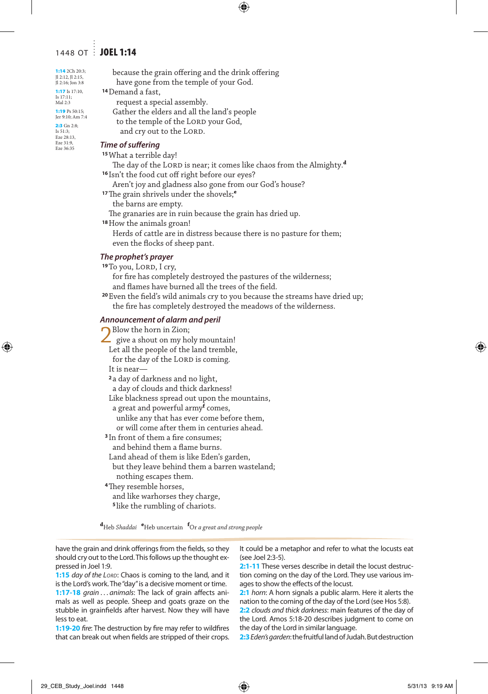## 1448 OT **JOEL 1:14**

1:14 2Ch 20:3; Jl 2:12, Jl 2:15, Jl 2:16; Jon 3:8 1:17 Is 17:10, Is 17:11;

Mal 2:3 1:19 Ps 50:15;

Jer 9:10; Am 7:4 2:3 Gn 2:8;<br>Is  $51:3$ : Is 51:3; Eze 28:13,

Eze 31:9, Eze 36:35

 because the grain offering and the drink offering have gone from the temple of your God. **<sup>14</sup>**Demand a fast,

request a special assembly.

 Gather the elders and all the land's people to the temple of the LORD your God, and cry out to the LORD.

### *Time of suffering*

### **<sup>15</sup>**What a terrible day!

The day of the LORD is near; it comes like chaos from the Almighty.<sup>d</sup> **<sup>16</sup>** Isn't the food cut off right before our eyes?

Aren't joy and gladness also gone from our God's house?

**<sup>17</sup>**The grain shrivels under the shovels;**<sup>e</sup>**

the barns are empty.

The granaries are in ruin because the grain has dried up.

**<sup>18</sup>**How the animals groan!

 Herds of cattle are in distress because there is no pasture for them; even the flocks of sheep pant.

## *The prophet's prayer*

<sup>19</sup>To you, LORD, I cry,

 for fire has completely destroyed the pastures of the wilderness; and flames have burned all the trees of the field.

**<sup>20</sup>** Even the field's wild animals cry to you because the streams have dried up; the fire has completely destroyed the meadows of the wilderness.

#### *Announcement of alarm and peril*

| Blow the horn in Zion;                         |
|------------------------------------------------|
| $\angle$ give a shout on my holy mountain!     |
| Let all the people of the land tremble,        |
| for the day of the LORD is coming.             |
| It is near—                                    |
| <sup>2</sup> a day of darkness and no light,   |
| a day of clouds and thick darkness!            |
| Like blackness spread out upon the mountains,  |
| a great and powerful army <sup>f</sup> comes,  |
| unlike any that has ever come before them,     |
| or will come after them in centuries ahead.    |
| <sup>3</sup> In front of them a fire consumes; |
| and behind them a flame burns.                 |
| Land ahead of them is like Eden's garden,      |
| but they leave behind them a barren wasteland; |
| nothing escapes them.                          |
| <sup>4</sup> They resemble horses,             |
| and like warhorses they charge,                |
| <sup>5</sup> like the rumbling of chariots.    |

**d** Heb *Shaddai* **<sup>e</sup>** Heb uncertain **<sup>f</sup>** Or *a great and strong people*

have the grain and drink offerings from the fields, so they should cry out to the Lord. This follows up the thought expressed in Joel 1:9.

1:15 *day of the Lord*: Chaos is coming to the land, and it is the Lord's work. The "day" is a decisive moment or time.

**1:17-18** *grain* . . . *animals*: The lack of grain affects animals as well as people. Sheep and goats graze on the stubble in grainfields after harvest. Now they will have less to eat.

**1:19-20** *fire*: The destruction by fire may refer to wildfires that can break out when fields are stripped of their crops.

It could be a metaphor and refer to what the locusts eat (see Joel 2:3-5).

**2:1-11** These verses describe in detail the locust destruction coming on the day of the Lord. They use various images to show the effects of the locust.

**2:1** *horn*: A horn signals a public alarm. Here it alerts the nation to the coming of the day of the Lord (see Hos 5:8).

**2:2** *clouds and thick darkness*: main features of the day of the Lord. Amos 5:18-20 describes judgment to come on the day of the Lord in similar language.

**2:3***Eden's garden*: the fruitful land of Judah. But destruction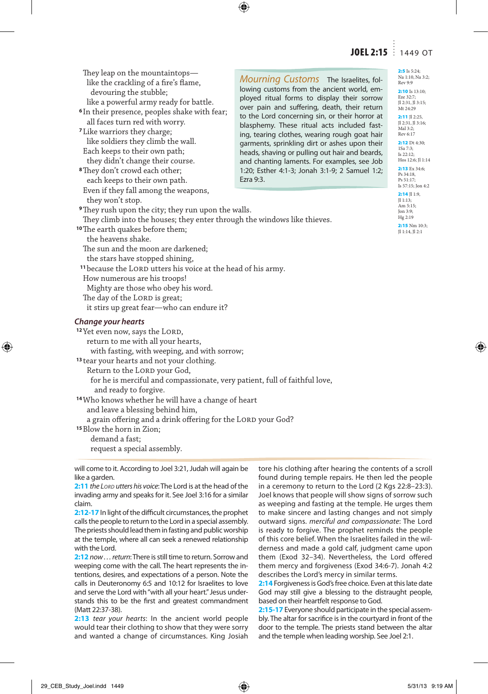## JOEL 2:15 | 1449 OT

| They leap on the mountaintops—<br>like the crackling of a fire's flame,<br>devouring the stubble;<br>like a powerful army ready for battle.<br><sup>6</sup> In their presence, peoples shake with fear;<br>all faces turn red with worry.<br><sup>7</sup> Like warriors they charge;<br>like soldiers they climb the wall.<br>Each keeps to their own path;<br>they didn't change their course.<br><sup>8</sup> They don't crowd each other;<br>each keeps to their own path. | Mourning Customs The Israelites, fol-<br>lowing customs from the ancient world, em-<br>ployed ritual forms to display their sorrow<br>over pain and suffering, death, their return<br>to the Lord concerning sin, or their horror at<br>blasphemy. These ritual acts included fast-<br>ing, tearing clothes, wearing rough goat hair<br>garments, sprinkling dirt or ashes upon their<br>heads, shaving or pulling out hair and beards,<br>and chanting laments. For examples, see Job<br>1:20; Esther 4:1-3; Jonah 3:1-9; 2 Samuel 1:2;<br>Ezra 9:3. |
|-------------------------------------------------------------------------------------------------------------------------------------------------------------------------------------------------------------------------------------------------------------------------------------------------------------------------------------------------------------------------------------------------------------------------------------------------------------------------------|-------------------------------------------------------------------------------------------------------------------------------------------------------------------------------------------------------------------------------------------------------------------------------------------------------------------------------------------------------------------------------------------------------------------------------------------------------------------------------------------------------------------------------------------------------|
| Even if they fall among the weapons,<br>they won't stop.                                                                                                                                                                                                                                                                                                                                                                                                                      |                                                                                                                                                                                                                                                                                                                                                                                                                                                                                                                                                       |
| <sup>9</sup> They rush upon the city; they run upon the walls.                                                                                                                                                                                                                                                                                                                                                                                                                |                                                                                                                                                                                                                                                                                                                                                                                                                                                                                                                                                       |
| They climb into the houses; they enter through the windows like thieves.                                                                                                                                                                                                                                                                                                                                                                                                      |                                                                                                                                                                                                                                                                                                                                                                                                                                                                                                                                                       |
| <sup>10</sup> The earth quakes before them;                                                                                                                                                                                                                                                                                                                                                                                                                                   |                                                                                                                                                                                                                                                                                                                                                                                                                                                                                                                                                       |
| the heavens shake.                                                                                                                                                                                                                                                                                                                                                                                                                                                            |                                                                                                                                                                                                                                                                                                                                                                                                                                                                                                                                                       |
| The sun and the moon are darkened;                                                                                                                                                                                                                                                                                                                                                                                                                                            |                                                                                                                                                                                                                                                                                                                                                                                                                                                                                                                                                       |
| the stars have stopped shining,                                                                                                                                                                                                                                                                                                                                                                                                                                               |                                                                                                                                                                                                                                                                                                                                                                                                                                                                                                                                                       |
| <sup>11</sup> because the LORD utters his voice at the head of his army.                                                                                                                                                                                                                                                                                                                                                                                                      |                                                                                                                                                                                                                                                                                                                                                                                                                                                                                                                                                       |
| How numerous are his troops!                                                                                                                                                                                                                                                                                                                                                                                                                                                  |                                                                                                                                                                                                                                                                                                                                                                                                                                                                                                                                                       |
| Mighty are those who obey his word.                                                                                                                                                                                                                                                                                                                                                                                                                                           |                                                                                                                                                                                                                                                                                                                                                                                                                                                                                                                                                       |
| The day of the LORD is great;                                                                                                                                                                                                                                                                                                                                                                                                                                                 |                                                                                                                                                                                                                                                                                                                                                                                                                                                                                                                                                       |
| it stirs up great fear-who can endure it?                                                                                                                                                                                                                                                                                                                                                                                                                                     |                                                                                                                                                                                                                                                                                                                                                                                                                                                                                                                                                       |
| Chanae vour hearts                                                                                                                                                                                                                                                                                                                                                                                                                                                            |                                                                                                                                                                                                                                                                                                                                                                                                                                                                                                                                                       |

<sup>12</sup> Yet even now, says the LORD, return to me with all your hearts, with fasting, with weeping, and with sorrow; **<sup>13</sup>** tear your hearts and not your clothing. Return to the LORD your God, for he is merciful and compassionate, very patient, full of faithful love, and ready to forgive. **<sup>14</sup>**Who knows whether he will have a change of heart and leave a blessing behind him, a grain offering and a drink offering for the LORD your God? **<sup>15</sup>**Blow the horn in Zion; demand a fast; request a special assembly.

will come to it. According to Joel 3:21, Judah will again be like a garden.

**2:11** *the LORD utters his voice*: The Lord is at the head of the invading army and speaks for it. See Joel 3:16 for a similar claim.

**2:12-17** In light of the difficult circumstances, the prophet calls the people to return to the Lord in a special assembly. The priests should lead them in fasting and public worship at the temple, where all can seek a renewed relationship with the Lord.

**2:12** *now . . . return*: There is still time to return. Sorrow and weeping come with the call. The heart represents the intentions, desires, and expectations of a person. Note the calls in Deuteronomy 6:5 and 10:12 for Israelites to love and serve the Lord with "with all your heart." Jesus understands this to be the first and greatest commandment (Matt 22:37-38).

**2:13** *tear your hearts*: In the ancient world people would tear their clothing to show that they were sorry and wanted a change of circumstances. King Josiah tore his clothing after hearing the contents of a scroll found during temple repairs. He then led the people in a ceremony to return to the Lord (2 Kgs 22:8–23:3). Joel knows that people will show signs of sorrow such as weeping and fasting at the temple. He urges them to make sincere and lasting changes and not simply outward signs. *merciful and compassionate*: The Lord is ready to forgive. The prophet reminds the people of this core belief. When the Israelites failed in the wilderness and made a gold calf, judgment came upon them (Exod 32–34). Nevertheless, the Lord offered them mercy and forgiveness (Exod 34:6-7). Jonah 4:2 describes the Lord's mercy in similar terms.

**2:14** Forgiveness is God's free choice. Even at this late date God may still give a blessing to the distraught people, based on their heartfelt response to God.

**2:15-17** Everyone should participate in the special assembly. The altar for sacrifice is in the courtyard in front of the door to the temple. The priests stand between the altar and the temple when leading worship. See Joel 2:1.

2:5 Is 5:24; Na 1:10, Na 3:2; Rev 9:9

2:10 Is 13:10; Eze 32:7 Jl 2:31, Jl 3:15; M<sub>t</sub> 24-29

2:11 Jl 2:25, Jl 2:31, Jl 3:16; Mal 3:2; Rev 6:17

2:12 Dt 4:30; 1Sa 7:3;  $I_5$  22:12: Hos 12:6; Jl 1:14

2:13 Ex 34:6: Ps 34:18, Ps 51:17; Is 57:15; Jon 4:2

2:14 Jl 1:9,<br> $11 + 13$ Jl 1:13; Am 5:15; Jon 3:9; Hg 2:19 2:15 Nm 10:3 Jl 1:14, Jl 2:1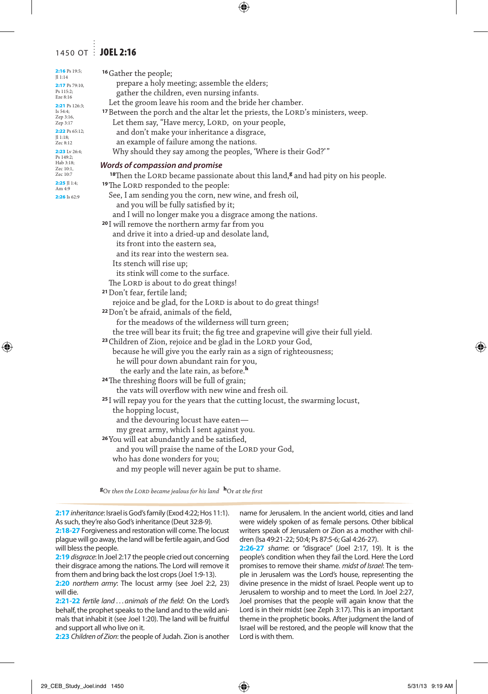## 1450 OT : JOEL 2:16

| $2:16$ Ps 19:5;<br>J1:14   | <sup>16</sup> Gather the people;                                                                        |
|----------------------------|---------------------------------------------------------------------------------------------------------|
| 2:17 Ps 79:10,             | prepare a holy meeting; assemble the elders;                                                            |
| Ps 115:2;<br>Eze 8:16      | gather the children, even nursing infants.                                                              |
| <b>2:21</b> Ps 126:3;      | Let the groom leave his room and the bride her chamber.                                                 |
| Is $54:4;$<br>Zep 3:16,    | <sup>17</sup> Between the porch and the altar let the priests, the LORD's ministers, weep.              |
| Zep 3:17                   | Let them say, "Have mercy, LORD, on your people,                                                        |
| 2:22 Ps 65:12;<br> 11:18;  | and don't make your inheritance a disgrace,                                                             |
| Zec 8:12                   | an example of failure among the nations.                                                                |
| 2:23 Lv 26:4;<br>Ps 149:2; | Why should they say among the peoples, 'Where is their God?'"                                           |
| Hab 3:18;<br>Zec 10:1,     | Words of compassion and promise                                                                         |
| Zec 10:7                   | <sup>18</sup> Then the LORD became passionate about this land, <sup>8</sup> and had pity on his people. |
| $2:25$ Jl 1:4;<br>Am 4:9   | <sup>19</sup> The LORD responded to the people:                                                         |
| 2:26 Is 62:9               | See, I am sending you the corn, new wine, and fresh oil,                                                |
|                            | and you will be fully satisfied by it;                                                                  |
|                            | and I will no longer make you a disgrace among the nations.                                             |
|                            | <sup>20</sup> I will remove the northern army far from you                                              |
|                            | and drive it into a dried-up and desolate land,                                                         |
|                            | its front into the eastern sea,                                                                         |
|                            | and its rear into the western sea.                                                                      |
|                            | Its stench will rise up;                                                                                |
|                            | its stink will come to the surface.                                                                     |
|                            | The LORD is about to do great things!                                                                   |
|                            | <sup>21</sup> Don't fear, fertile land;                                                                 |
|                            | rejoice and be glad, for the LORD is about to do great things!                                          |
|                            | <sup>22</sup> Don't be afraid, animals of the field,                                                    |
|                            | for the meadows of the wilderness will turn green;                                                      |
|                            | the tree will bear its fruit; the fig tree and grapevine will give their full yield.                    |
|                            | <sup>23</sup> Children of Zion, rejoice and be glad in the LORD your God,                               |
|                            | because he will give you the early rain as a sign of righteousness;                                     |
|                            | he will pour down abundant rain for you,                                                                |
|                            | the early and the late rain, as before. <sup>h</sup>                                                    |
|                            | <sup>24</sup> The threshing floors will be full of grain;                                               |
|                            | the vats will overflow with new wine and fresh oil.                                                     |
|                            | <sup>25</sup> I will repay you for the years that the cutting locust, the swarming locust,              |
|                            | the hopping locust,                                                                                     |
|                            | and the devouring locust have eaten—                                                                    |
|                            | my great army, which I sent against you.                                                                |
|                            | <sup>26</sup> You will eat abundantly and be satisfied,                                                 |
|                            | and you will praise the name of the LORD your God,                                                      |
|                            | who has done wonders for you;                                                                           |
|                            | and my people will never again be put to shame.                                                         |
|                            |                                                                                                         |

**g** Or *then the Lord became jealous for his land* **<sup>h</sup>**Or *at the first*

**2:17***inheritance*: Israel is God's family (Exod 4:22; Hos 11:1). As such, they're also God's inheritance (Deut 32:8-9).

**2:18-27** Forgiveness and restoration will come. The locust plague will go away, the land will be fertile again, and God will bless the people.

**2:19** *disgrace*: In Joel 2:17 the people cried out concerning their disgrace among the nations. The Lord will remove it from them and bring back the lost crops (Joel 1:9-13).

**2:20** *northern army*: The locust army (see Joel 2:2, 23) will die.

**2:21-22** *fertile land* ... *animals of the field*: On the Lord's behalf, the prophet speaks to the land and to the wild animals that inhabit it (see Joel 1:20). The land will be fruitful and support all who live on it.

**2:23** *Children of Zion*: the people of Judah. Zion is another

name for Jerusalem. In the ancient world, cities and land were widely spoken of as female persons. Other biblical writers speak of Jerusalem or Zion as a mother with children (Isa 49:21-22; 50:4; Ps 87:5-6; Gal 4:26-27).

**2:26-27** *shame*: or "disgrace" (Joel 2:17, 19). It is the people's condition when they fail the Lord. Here the Lord promises to remove their shame. *midst of Israel*: The temple in Jerusalem was the Lord's house, representing the divine presence in the midst of Israel. People went up to Jerusalem to worship and to meet the Lord. In Joel 2:27, Joel promises that the people will again know that the Lord is in their midst (see Zeph 3:17). This is an important theme in the prophetic books. After judgment the land of Israel will be restored, and the people will know that the Lord is with them.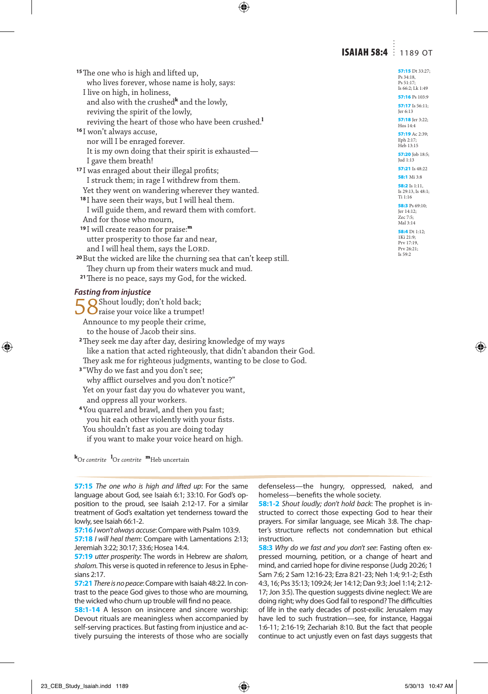## **ISAIAH 58:4** 1189 OT

Ps 34:18, Ps 51:17; Is 66:2; Lk 1:49 57:16 Ps 103:9 57:17 Is 56:11; Jer 6:13 57:18 Jer 3:22; Hos 14:4 57:19 Ac 2:39; Eph 2:17 Heb 13:15 57:20 Job 18:5; Jud 1:13 57:21 Is 48:22 58:1 Mi 3:8 58:2 Is 1:11, Is 29:13, Is 48:1; Ti 1:16 58:3 Ps 69:10; Jer 14:12; Zec 7:5; Mal 3:14 58:4 Dt 1:12; 1Ki 21:9; Prv 17:19, Prv 26:21; Is 59:2

**<sup>15</sup>**The one who is high and lifted up, who lives forever, whose name is holy, says: I live on high, in holiness, and also with the crushed**<sup>k</sup>** and the lowly, reviving the spirit of the lowly, reviving the heart of those who have been crushed.**<sup>l</sup> <sup>16</sup>** I won't always accuse, nor will I be enraged forever. It is my own doing that their spirit is exhausted— I gave them breath! **<sup>17</sup>** I was enraged about their illegal profits; I struck them; in rage I withdrew from them. Yet they went on wandering wherever they wanted. **<sup>18</sup>** I have seen their ways, but I will heal them. I will guide them, and reward them with comfort. And for those who mourn, **<sup>19</sup>** I will create reason for praise:**<sup>m</sup>** utter prosperity to those far and near, and I will heal them, says the LORD. **<sup>20</sup>**But the wicked are like the churning sea that can't keep still. They churn up from their waters muck and mud. **<sup>21</sup>**There is no peace, says my God, for the wicked. *Fasting from injustice* 58 Shout loudly; don't hold back;<br>Saise your voice like a trumpet! Announce to my people their crime, to the house of Jacob their sins. **<sup>2</sup>**They seek me day after day, desiring knowledge of my ways like a nation that acted righteously, that didn't abandon their God. They ask me for righteous judgments, wanting to be close to God. **<sup>3</sup>** "Why do we fast and you don't see; why afflict ourselves and you don't notice?" Yet on your fast day you do whatever you want, and oppress all your workers. **<sup>4</sup>**You quarrel and brawl, and then you fast; you hit each other violently with your fists. You shouldn't fast as you are doing today if you want to make your voice heard on high.

**k** Or *contrite* **<sup>l</sup>** Or *contrite* **m**Heb uncertain

**57:15** *The one who is high and lifted up*: For the same language about God, see Isaiah 6:1; 33:10. For God's opposition to the proud, see Isaiah 2:12-17. For a similar treatment of God's exaltation yet tenderness toward the lowly, see Isaiah 66:1-2.

**57:16** *I won't always accuse*:Compare with Psalm 103:9. **57:18** *I will heal them*: Compare with Lamentations 2:13; Jeremiah 3:22; 30:17; 33:6; Hosea 14:4.

**57:19** *utter prosperity*: The words in Hebrew are *shalom, shalom.* This verse is quoted in reference to Jesus in Ephesians 2:17.

**57:21** *There is no peace*:Compare with Isaiah 48:22. In contrast to the peace God gives to those who are mourning, the wicked who churn up trouble will find no peace.

**58:1-14** A lesson on insincere and sincere worship: Devout rituals are meaningless when accompanied by self-serving practices. But fasting from injustice and actively pursuing the interests of those who are socially

defenseless—the hungry, oppressed, naked, and homeless—benefits the whole society.

**58:1-2** *Shout loudly; don't hold back*: The prophet is instructed to correct those expecting God to hear their prayers. For similar language, see Micah 3:8. The chapter's structure reflects not condemnation but ethical instruction.

**58:3** *Why do we fast and you don't see*: Fasting often expressed mourning, petition, or a change of heart and mind, and carried hope for divine response (Judg 20:26; 1 Sam 7:6; 2 Sam 12:16-23; Ezra 8:21-23; Neh 1:4; 9:1-2; Esth 4:3, 16; Pss 35:13; 109:24; Jer 14:12; Dan 9:3; Joel 1:14; 2:12- 17; Jon 3:5). The question suggests divine neglect: We are doing right; why does God fail to respond? The difficulties of life in the early decades of post-exilic Jerusalem may have led to such frustration—see, for instance, Haggai 1:6-11; 2:16-19; Zechariah 8:10. But the fact that people continue to act unjustly even on fast days suggests that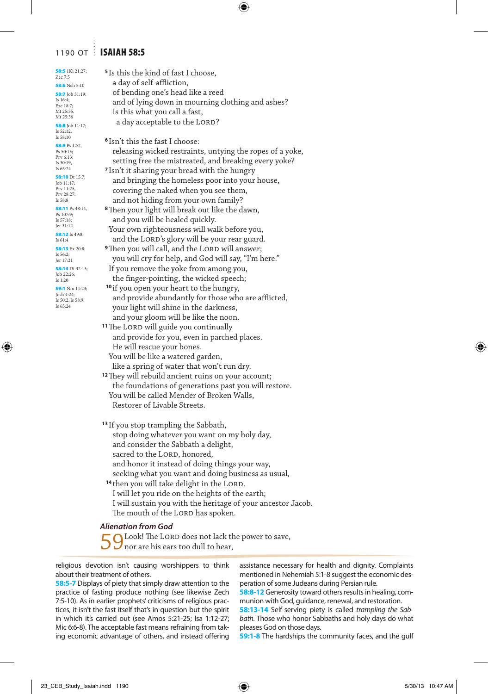## 1190 OT : ISAIAH 58:5

| 58:5 1Ki 21:27;<br>Zec 7:5      | <sup>5</sup> Is this the kind of fast I choose,                |  |
|---------------------------------|----------------------------------------------------------------|--|
| 58:6 Neh 5:10                   | a day of self-affliction,                                      |  |
| 58:7 Job 31:19;                 | of bending one's head like a reed                              |  |
| Is 16:4;                        | and of lying down in mourning clothing and ashes?              |  |
| Eze 18:7;<br>Mt 25:35,          | Is this what you call a fast,                                  |  |
| Mt 25:36                        | a day acceptable to the LORD?                                  |  |
| 58:8 Job 11:17;<br>Is 52:12.    |                                                                |  |
| Is 58:10                        |                                                                |  |
| 58:9 Ps 12:2,                   | <sup>6</sup> Isn't this the fast I choose:                     |  |
| Ps 50:15;<br>Prv 6:13;          | releasing wicked restraints, untying the ropes of a yoke,      |  |
| Is 30:19.                       | setting free the mistreated, and breaking every yoke?          |  |
| Is 65:24                        | <sup>7</sup> Isn't it sharing your bread with the hungry       |  |
| 58:10 Dt 15:7;<br>Job 11:17;    | and bringing the homeless poor into your house,                |  |
| Prv 11:25,<br>Prv 28:27;        | covering the naked when you see them,                          |  |
| Is 58:8                         | and not hiding from your own family?                           |  |
| 58:11 Ps 48:14,                 | <sup>8</sup> Then your light will break out like the dawn,     |  |
| Ps 107:9;<br>Is 57:18;          | and you will be healed quickly.                                |  |
| Jer 31:12                       |                                                                |  |
| 58:12 Is 49:8,                  | Your own righteousness will walk before you,                   |  |
| Is 61:4                         | and the LORD's glory will be your rear guard.                  |  |
| 58:13 Ex 20:8;<br>Is 56:2;      | <b>9</b> Then you will call, and the LORD will answer;         |  |
| Jer 17:21                       | you will cry for help, and God will say, "I'm here."           |  |
| 58:14 Dt 32:13;<br>Job 22:26;   | If you remove the yoke from among you,                         |  |
| Is 1:20                         | the finger-pointing, the wicked speech;                        |  |
| 59:1 Nm 11:23;                  | <sup>10</sup> if you open your heart to the hungry,            |  |
| Josh 4:24;<br>Is 50:2, Is 58:9, | and provide abundantly for those who are afflicted,            |  |
| Is 65:24                        | your light will shine in the darkness,                         |  |
|                                 | and your gloom will be like the noon.                          |  |
|                                 | <sup>11</sup> The LORD will guide you continually              |  |
|                                 | and provide for you, even in parched places.                   |  |
|                                 | He will rescue your bones.                                     |  |
|                                 |                                                                |  |
|                                 | You will be like a watered garden,                             |  |
|                                 | like a spring of water that won't run dry.                     |  |
|                                 | <sup>12</sup> They will rebuild ancient ruins on your account; |  |
|                                 | the foundations of generations past you will restore.          |  |
|                                 | You will be called Mender of Broken Walls,                     |  |
|                                 | Restorer of Livable Streets.                                   |  |
|                                 |                                                                |  |
|                                 | <sup>13</sup> If you stop trampling the Sabbath,               |  |
|                                 | stop doing whatever you want on my holy day,                   |  |
|                                 | and consider the Sabbath a delight,                            |  |
|                                 | sacred to the LORD, honored,                                   |  |
|                                 | and honor it instead of doing things your way,                 |  |
|                                 | seeking what you want and doing business as usual,             |  |
|                                 | <sup>14</sup> then you will take delight in the LORD.          |  |
|                                 | I will let you ride on the heights of the earth;               |  |
|                                 | I will sustain you with the heritage of your ancestor Jacob.   |  |
|                                 | The mouth of the LORD has spoken.                              |  |
|                                 |                                                                |  |

#### *Alienation from God*

Look! The LORD does not lack the power to save, nor are his ears too dull to hear,

religious devotion isn't causing worshippers to think about their treatment of others.

**58:5-7** Displays of piety that simply draw attention to the practice of fasting produce nothing (see likewise Zech 7:5-10). As in earlier prophets' criticisms of religious practices, it isn't the fast itself that's in question but the spirit in which it's carried out (see Amos 5:21-25; Isa 1:12-27; Mic 6:6-8). The acceptable fast means refraining from taking economic advantage of others, and instead offering assistance necessary for health and dignity. Complaints mentioned in Nehemiah 5:1-8 suggest the economic desperation of some Judeans during Persian rule.

**58:8-12** Generosity toward others results in healing, communion with God, guidance, renewal, and restoration.

**58:13-14** Self-serving piety is called *trampling the Sabbath.* Those who honor Sabbaths and holy days do what pleases God on those days.

**59:1-8** The hardships the community faces, and the gulf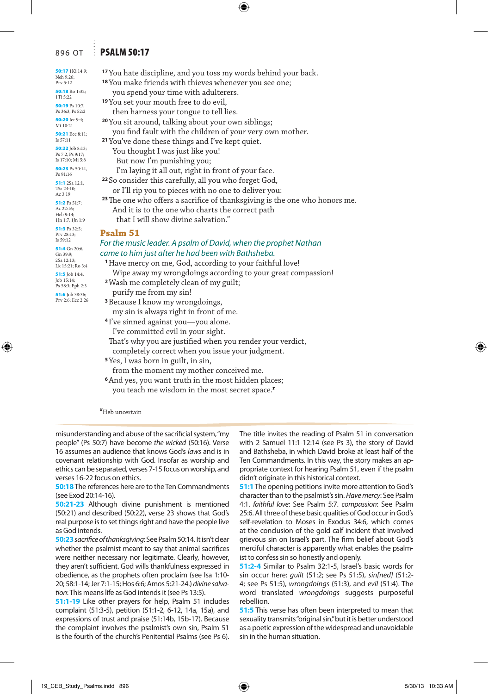## 896 OT **PSALM 50:17**

| i 14:9;        | <sup>17</sup> You hate discipline, and you toss my words behind your back.             |
|----------------|----------------------------------------------------------------------------------------|
|                | <sup>18</sup> You make friends with thieves whenever you see one;                      |
| 1:32;          | you spend your time with adulterers.                                                   |
| 10:7,          | <sup>19</sup> You set your mouth free to do evil,                                      |
| 52:2           | then harness your tongue to tell lies.                                                 |
| 9:4;           | <sup>20</sup> You sit around, talking about your own siblings;                         |
| c 8:11;        | you find fault with the children of your very own mother.                              |
|                | <sup>21</sup> You've done these things and I've kept quiet.                            |
| 8:13;<br>9:17; | You thought I was just like you!                                                       |
| 4i 5:8         | But now I'm punishing you;                                                             |
| $50:14$ ,      | I'm laying it all out, right in front of your face.                                    |
| 12:1,          | <sup>22</sup> So consider this carefully, all you who forget God,                      |
| i.             | or I'll rip you to pieces with no one to deliver you:                                  |
| 1:7;           | <sup>23</sup> The one who offers a sacrifice of thanksgiving is the one who honors me. |
|                | And it is to the one who charts the correct path                                       |
| n 1:9          | that I will show divine salvation."                                                    |
| 2:5;           | Psalm 51                                                                               |
|                | For the music leader. A psalm of David, when the prophet Nathan                        |
| 20:6,          | came to him just after he had been with Bathsheba.                                     |
| Ro 3:4         | <sup>1</sup> Have mercy on me, God, according to your faithful love!                   |
| 14:4,          | Wipe away my wrongdoings according to your great compassion!                           |
| ph 2:3         | <sup>2</sup> Wash me completely clean of my guilt;                                     |
| 38:36;         | purify me from my sin!                                                                 |
| cc 2:26        | <sup>3</sup> Because I know my wrongdoings,                                            |
|                | my sin is always right in front of me.                                                 |
|                | <sup>4</sup> I've sinned against you-you alone.                                        |
|                | I've committed evil in your sight.                                                     |
|                | That's why you are justified when you render your verdict,                             |
|                | completely correct when you issue your judgment.                                       |
|                | <sup>5</sup> Yes, I was born in guilt, in sin,                                         |
|                | from the moment my mother conceived me.                                                |
|                | <sup>6</sup> And yes, you want truth in the most hidden places;                        |

you teach me wisdom in the most secret space.**<sup>r</sup>**

**r** Heb uncertain

misunderstanding and abuse of the sacrificial system, "my people" (Ps 50:7) have become *the wicked* (50:16). Verse 16 assumes an audience that knows God's *laws* and is in covenant relationship with God. Insofar as worship and ethics can be separated, verses 7-15 focus on worship, and verses 16-22 focus on ethics.

**50:18** The references here are to the Ten Commandments (see Exod 20:14-16).

**50:21-23** Although divine punishment is mentioned (50:21) and described (50:22), verse 23 shows that God's real purpose is to set things right and have the people live as God intends.

**50:23***sacrifice of thanksgiving*: See Psalm 50:14. It isn't clear whether the psalmist meant to say that animal sacrifices were neither necessary nor legitimate. Clearly, however, they aren't sufficient. God wills thankfulness expressed in obedience, as the prophets often proclaim (see Isa 1:10- 20; 58:1-14; Jer 7:1-15; Hos 6:6; Amos 5:21-24.) *divine salvation*: This means life as God intends it (see Ps 13:5).

**51:1-19** Like other prayers for help, Psalm 51 includes complaint (51:3-5), petition (51:1-2, 6-12, 14a, 15a), and expressions of trust and praise (51:14b, 15b-17). Because the complaint involves the psalmist's own sin, Psalm 51 is the fourth of the church's Penitential Psalms (see Ps 6). The title invites the reading of Psalm 51 in conversation with 2 Samuel 11:1-12:14 (see Ps 3), the story of David and Bathsheba, in which David broke at least half of the Ten Commandments. In this way, the story makes an appropriate context for hearing Psalm 51, even if the psalm didn't originate in this historical context.

**51:1** The opening petitions invite more attention to God's character than to the psalmist's sin. *Have mercy*: See Psalm 4:1. *faithful love*: See Psalm 5:7. *compassion*: See Psalm 25:6. All three of these basic qualities of God occur in God's self-revelation to Moses in Exodus 34:6, which comes at the conclusion of the gold calf incident that involved grievous sin on Israel's part. The firm belief about God's merciful character is apparently what enables the psalmist to confess sin so honestly and openly.

**51:2-4** Similar to Psalm 32:1-5, Israel's basic words for sin occur here: *guilt* (51:2; see Ps 51:5), *sin[ned]* (51:2- 4; see Ps 51:5), *wrongdoings* (51:3), and *evil* (51:4). The word translated *wrongdoings* suggests purposeful rebellion.

**51:5** This verse has often been interpreted to mean that sexuality transmits "original sin," but it is better understood as a poetic expression of the widespread and unavoidable sin in the human situation.

50:17 1K Neh 9:26; Prv 5:12

50:18 Rc 1Ti 5:22 50:19 Ps  $Ps$  36:3, Ps 50:20 Jer Mt 10:21 50:21 Ec Is 57:11 50:22 **Job**  $p_s$  7.2,  $p_s$  $Is$  17:10;  $\frac{1}{2}$ 50:23 Ps Ps 91:16 51:1 2Sa 2Sa 24:10; Ac 3:19 51:2 Ps 5  $Ac$  22:16; Heb 9:14;  $1Jn 1:7,1$  $51:3 Ps 3$ Prv 28:13; Is 59:12 51:4 Gn Gn 39:9; 2Sa 12:13;  $Lk$  15:21; 51:5 Job  $J$ ob  $15:14$  $P_S$  58 $\cdot$ 3 $\cdot$  E 51:6 **Job**  $p_{\text{rv}}$  2:6: E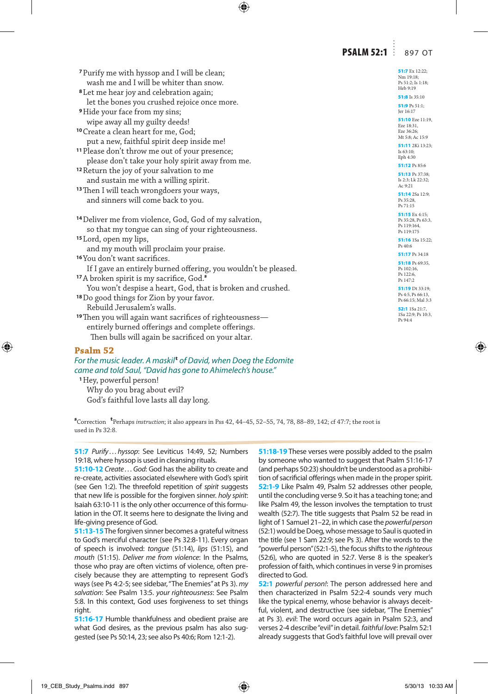## **PSALM 52:1** 897 OT

| <sup>7</sup> Purify me with hyssop and I will be clean;                                                                | 51:7 Ex 12:22;<br>Nm 19:18;                                         |
|------------------------------------------------------------------------------------------------------------------------|---------------------------------------------------------------------|
| wash me and I will be whiter than snow.                                                                                | Ps 51:2; Is 1:18;<br>Heb 9:19                                       |
| <sup>8</sup> Let me hear joy and celebration again;                                                                    | <b>51:8</b> Is 35:10                                                |
| let the bones you crushed rejoice once more.                                                                           | 51:9 Ps $51:1;$                                                     |
| <sup>9</sup> Hide your face from my sins;                                                                              | Jer 16:17                                                           |
| wipe away all my guilty deeds!                                                                                         | 51:10 Eze 11:19,<br>Eze 18:31,                                      |
| <sup>10</sup> Create a clean heart for me, God;                                                                        | Eze 36:26;<br>Mt 5:8; Ac 15:9                                       |
| put a new, faithful spirit deep inside me!                                                                             | 51:11 2Ki 13:23;                                                    |
| <sup>11</sup> Please don't throw me out of your presence;                                                              | Is $63:10$ ;<br>Eph 4:30                                            |
| please don't take your holy spirit away from me.                                                                       | 51:12 Ps 85:6                                                       |
| <sup>12</sup> Return the joy of your salvation to me                                                                   | 51:13 Ps 37:38;                                                     |
| and sustain me with a willing spirit.                                                                                  | Is 2:3; Lk 22:32;<br>Ac 9:21                                        |
| <sup>13</sup> Then I will teach wrongdoers your ways,                                                                  | 51:14 2Sa 12:9;                                                     |
| and sinners will come back to you.                                                                                     | Ps 35:28,<br>Ps 71:15                                               |
| <sup>14</sup> Deliver me from violence, God, God of my salvation,<br>so that my tongue can sing of your righteousness. | 51:15 $Ex 4:15:$<br>Ps 35:28, Ps 63:3,<br>Ps 119:164,<br>Ps 119:175 |
| <sup>15</sup> Lord, open my lips,                                                                                      | 51:16 1Sa 15:22;                                                    |
| and my mouth will proclaim your praise.                                                                                | Ps 40:6                                                             |
| <sup>16</sup> You don't want sacrifices.                                                                               | 51:17 Ps 34:18                                                      |
| If I gave an entirely burned offering, you wouldn't be pleased.                                                        | 51:18 Ps 69:35,<br>Ps 102:16,                                       |
| <sup>17</sup> A broken spirit is my sacrifice, God. <sup>8</sup>                                                       | Ps 122:6,                                                           |
|                                                                                                                        |                                                                     |
|                                                                                                                        | Ps 147:2<br>51:19 Dt 33:19;                                         |
| You won't despise a heart, God, that is broken and crushed.                                                            | Ps 4:5, Ps 66:13,                                                   |
| <sup>18</sup> Do good things for Zion by your favor.<br>Rebuild Jerusalem's walls.                                     | Ps 66:15; Mal 3:3<br><b>52:1</b> 1Sa 21:7,                          |
| <sup>19</sup> Then you will again want sacrifices of righteousness—                                                    | 1Sa 22:9; Ps 10:3,                                                  |
|                                                                                                                        | Ps 94:4                                                             |
| entirely burned offerings and complete offerings.<br>Then bulls will again be sacrificed on your altar.                |                                                                     |

#### **Psalm 52**

#### For the music leader. A maskil<sup>t</sup> of David, when Doeg the Edomite *came and told Saul, "David has gone to Ahimelech's house."*

**<sup>1</sup>**Hey, powerful person! Why do you brag about evil?

God's faithful love lasts all day long.

**s** Correction **<sup>t</sup>** Perhaps *instruction*; it also appears in Pss 42, 44–45, 52–55, 74, 78, 88–89, 142; cf 47:7; the root is used in  $Ps$   $32.8$ .

**51:7** *Purify . . . hyssop*: See Leviticus 14:49, 52; Numbers 19:18, where hyssop is used in cleansing rituals.

**51:10-12** *Create . . . God*: God has the ability to create and re-create, activities associated elsewhere with God's spirit (see Gen 1:2). The threefold repetition of *spirit* suggests that new life is possible for the forgiven sinner. *holy spirit*: Isaiah 63:10-11 is the only other occurrence of this formulation in the OT. It seems here to designate the living and life-giving presence of God.

**51:13-15** The forgiven sinner becomes a grateful witness to God's merciful character (see Ps 32:8-11). Every organ of speech is involved: *tongue* (51:14), *lips* (51:15), and *mouth* (51:15). *Deliver me from violence*: In the Psalms, those who pray are often victims of violence, often precisely because they are attempting to represent God's ways (see Ps 4:2-5; see sidebar, "The Enemies" at Ps 3). *my salvation*: See Psalm 13:5. *your righteousness*: See Psalm 5:8. In this context, God uses forgiveness to set things right.

**51:16-17** Humble thankfulness and obedient praise are what God desires, as the previous psalm has also suggested (see Ps 50:14, 23; see also Ps 40:6; Rom 12:1-2).

**51:18-19** These verses were possibly added to the psalm by someone who wanted to suggest that Psalm 51:16-17 (and perhaps 50:23) shouldn't be understood as a prohibition of sacrificial offerings when made in the proper spirit. **52:1-9** Like Psalm 49, Psalm 52 addresses other people, until the concluding verse 9. So it has a teaching tone; and like Psalm 49, the lesson involves the temptation to trust wealth (52:7). The title suggests that Psalm 52 be read in light of 1 Samuel 21–22, in which case the *powerful person* (52:1) would be Doeg, whose message to Saul is quoted in the title (see 1 Sam 22:9; see Ps 3). After the words to the "powerful person" (52:1-5), the focus shifts to the *righteous* (52:6), who are quoted in 52:7. Verse 8 is the speaker's profession of faith, which continues in verse 9 in promises directed to God.

**52:1** *powerful person!*: The person addressed here and then characterized in Psalm 52:2-4 sounds very much like the typical enemy, whose behavior is always deceitful, violent, and destructive (see sidebar, "The Enemies" at Ps 3). *evil*: The word occurs again in Psalm 52:3, and verses 2-4 describe "evil" in detail. *faithful love*: Psalm 52:1 already suggests that God's faithful love will prevail over